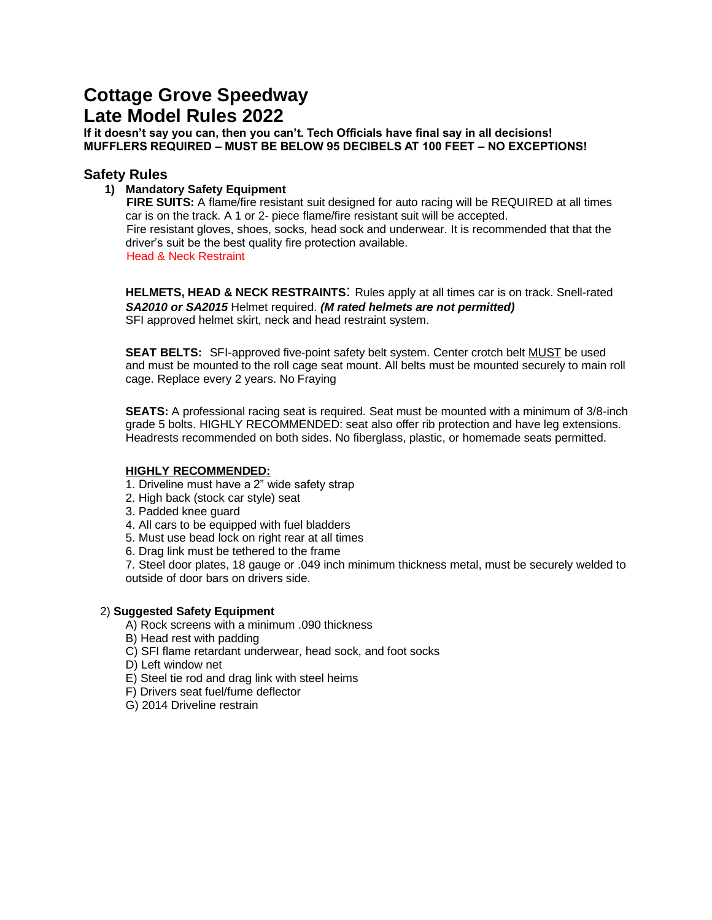# **Cottage Grove Speedway Late Model Rules 2022**

**If it doesn't say you can, then you can't. Tech Officials have final say in all decisions! MUFFLERS REQUIRED – MUST BE BELOW 95 DECIBELS AT 100 FEET – NO EXCEPTIONS!**

## **Safety Rules**

#### **1) Mandatory Safety Equipment**

**FIRE SUITS:** A flame/fire resistant suit designed for auto racing will be REQUIRED at all times car is on the track. A 1 or 2- piece flame/fire resistant suit will be accepted. Fire resistant gloves, shoes, socks, head sock and underwear. It is recommended that that the driver's suit be the best quality fire protection available. Head & Neck Restraint

**HELMETS, HEAD & NECK RESTRAINTS**: Rules apply at all times car is on track. Snell-rated *SA2010 or SA2015* Helmet required. *(M rated helmets are not permitted)*  SFI approved helmet skirt, neck and head restraint system.

**SEAT BELTS:** SFI-approved five-point safety belt system. Center crotch belt MUST be used and must be mounted to the roll cage seat mount. All belts must be mounted securely to main roll cage. Replace every 2 years. No Fraying

**SEATS:** A professional racing seat is required. Seat must be mounted with a minimum of 3/8-inch grade 5 bolts. HIGHLY RECOMMENDED: seat also offer rib protection and have leg extensions. Headrests recommended on both sides. No fiberglass, plastic, or homemade seats permitted.

#### **HIGHLY RECOMMENDED:**

- 1. Driveline must have a 2" wide safety strap
- 2. High back (stock car style) seat
- 3. Padded knee guard
- 4. All cars to be equipped with fuel bladders
- 5. Must use bead lock on right rear at all times
- 6. Drag link must be tethered to the frame

7. Steel door plates, 18 gauge or .049 inch minimum thickness metal, must be securely welded to outside of door bars on drivers side.

#### 2) **Suggested Safety Equipment**

A) Rock screens with a minimum .090 thickness

- B) Head rest with padding
- C) SFI flame retardant underwear, head sock, and foot socks
- D) Left window net
- E) Steel tie rod and drag link with steel heims
- F) Drivers seat fuel/fume deflector
- G) 2014 Driveline restrain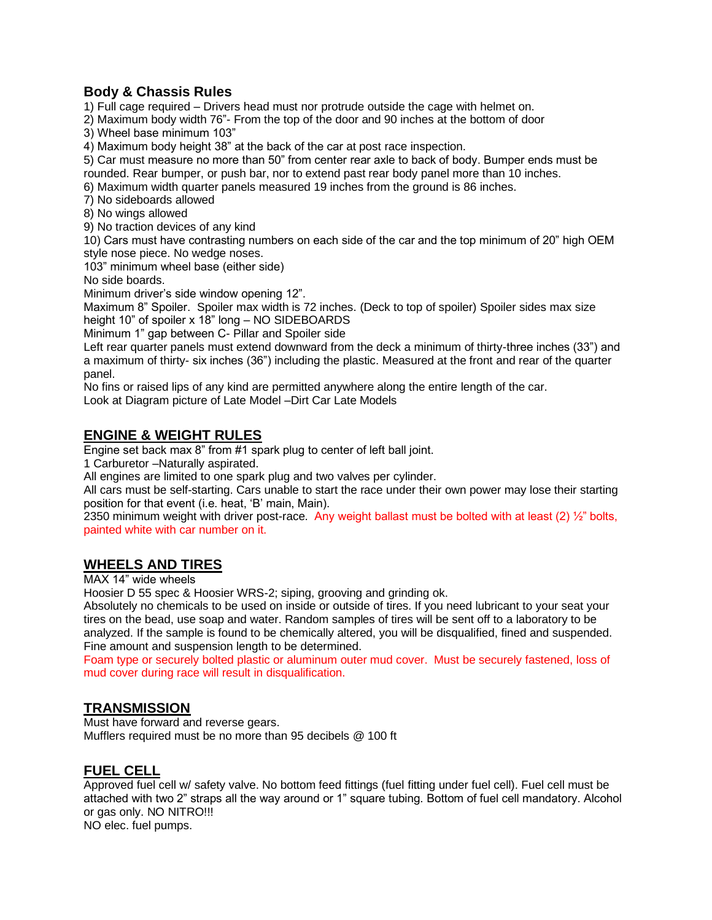## **Body & Chassis Rules**

1) Full cage required – Drivers head must nor protrude outside the cage with helmet on.

2) Maximum body width 76"- From the top of the door and 90 inches at the bottom of door

3) Wheel base minimum 103"

4) Maximum body height 38" at the back of the car at post race inspection.

5) Car must measure no more than 50" from center rear axle to back of body. Bumper ends must be rounded. Rear bumper, or push bar, nor to extend past rear body panel more than 10 inches.

6) Maximum width quarter panels measured 19 inches from the ground is 86 inches.

7) No sideboards allowed

8) No wings allowed

9) No traction devices of any kind

10) Cars must have contrasting numbers on each side of the car and the top minimum of 20" high OEM style nose piece. No wedge noses.

103" minimum wheel base (either side)

No side boards.

Minimum driver's side window opening 12".

Maximum 8" Spoiler. Spoiler max width is 72 inches. (Deck to top of spoiler) Spoiler sides max size height 10" of spoiler x 18" long – NO SIDEBOARDS

Minimum 1" gap between C- Pillar and Spoiler side

Left rear quarter panels must extend downward from the deck a minimum of thirty-three inches (33") and a maximum of thirty- six inches (36") including the plastic. Measured at the front and rear of the quarter panel.

No fins or raised lips of any kind are permitted anywhere along the entire length of the car.

Look at Diagram picture of Late Model –Dirt Car Late Models

# **ENGINE & WEIGHT RULES**

Engine set back max 8" from #1 spark plug to center of left ball joint.

1 Carburetor –Naturally aspirated.

All engines are limited to one spark plug and two valves per cylinder.

All cars must be self-starting. Cars unable to start the race under their own power may lose their starting position for that event (i.e. heat, 'B' main, Main).

2350 minimum weight with driver post-race. Any weight ballast must be bolted with at least (2) ½" bolts, painted white with car number on it.

# **WHEELS AND TIRES**

MAX 14" wide wheels

Hoosier D 55 spec & Hoosier WRS-2; siping, grooving and grinding ok.

Absolutely no chemicals to be used on inside or outside of tires. If you need lubricant to your seat your tires on the bead, use soap and water. Random samples of tires will be sent off to a laboratory to be analyzed. If the sample is found to be chemically altered, you will be disqualified, fined and suspended. Fine amount and suspension length to be determined.

Foam type or securely bolted plastic or aluminum outer mud cover. Must be securely fastened, loss of mud cover during race will result in disqualification.

## **TRANSMISSION**

Must have forward and reverse gears. Mufflers required must be no more than 95 decibels @ 100 ft

## **FUEL CELL**

Approved fuel cell w/ safety valve. No bottom feed fittings (fuel fitting under fuel cell). Fuel cell must be attached with two 2" straps all the way around or 1" square tubing. Bottom of fuel cell mandatory. Alcohol or gas only. NO NITRO!!!

NO elec. fuel pumps.